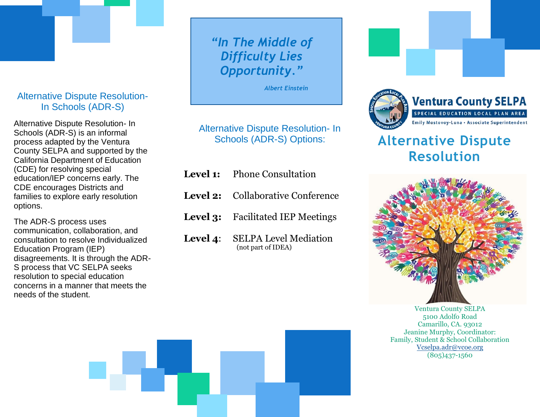# Alternative Dispute Resolution-In Schools (ADR-S)

Alternative Dispute Resolution- In Schools (ADR-S) is an informal process adapted by the Ventura County SELPA and supported by the California Department of Education (CDE) for resolving special education/IEP concerns early. The CDE encourages Districts and families to explore early resolution options.

The ADR-S process uses communication, collaboration, and consultation to resolve Individualized Education Program (IEP) disagreements. It is through the ADR-S process that VC SELPA seeks resolution to special education concerns in a manner that meets the needs of the student.

# *"In The Middle of Difficulty Lies Opportunity."*

*Albert Einstein*

Alternative Dispute Resolution- In Schools (ADR-S) Options:

- **Level 1:** Phone Consultation **Level 2:** Collaborative Conference **Level 3:** Facilitated IEP Meetings
- **Level 4**: SELPA Level Mediation (not part of IDEA)



# **Alternative Dispute Resolution**



Ventura County SELPA 5100 Adolfo Road Camarillo, CA. 93012 Jeanine Murphy, Coordinator: Family, Student & School Collaboration [Vcselpa.adr@vcoe.org](mailto:Vcselpa.adr@vcoe.org) (805)437-1560